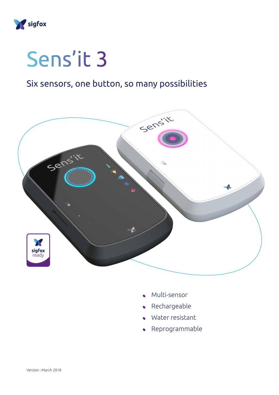

## Sens'it 3

## Six sensors, one button, so many possibilities



- Multi-sensor
- Rechargeable
- Water resistant
- Reprogrammable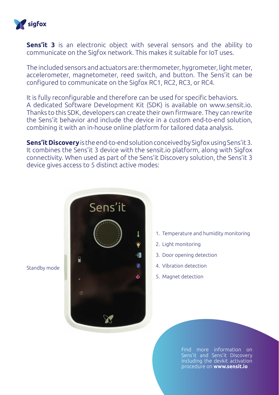

**Sens'it 3** is an electronic object with several sensors and the ability to communicate on the Sigfox network. This makes it suitable for IoT uses.

The included sensors and actuators are: thermometer, hygrometer, light meter, accelerometer, magnetometer, reed switch, and button. The Sens'it can be configured to communicate on the Sigfox RC1, RC2, RC3, or RC4.

It is fully reconfigurable and therefore can be used for specific behaviors. A dedicated Software Development Kit (SDK) is available on www.sensit.io. Thanks to this SDK, developers can create their own firmware. They can rewrite the Sens'it behavior and include the device in a custom end-to-end solution, combining it with an in-house online platform for tailored data analysis.

**Sens'it Discovery** is the end-to-end solution conceived by Sigfox using Sens'it 3. It combines the Sens'it 3 device with the sensit.io platform, along with Sigfox connectivity. When used as part of the Sens'it Discovery solution, the Sens'it 3 device gives access to 5 distinct active modes:



Standby mode

Find more information on Sens'it and Sens'it Discovery including the devkit activation procedure on **[www.sensit.io](http://www.sensit.io)**

1. Temperature and humidity monitoring

2. Light monitoring

4. Vibration detection

5. Magnet detection

3. Door opening detection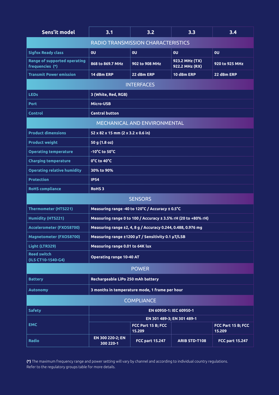| Sens'it model                                   | 3.1                                                           | 3.2                          | 3.3                              | 3.4                          |
|-------------------------------------------------|---------------------------------------------------------------|------------------------------|----------------------------------|------------------------------|
| <b>RADIO TRANSMISSION CHARACTERISTICS</b>       |                                                               |                              |                                  |                              |
| <b>Sigfox Ready class</b>                       | 0U                                                            | <b>OU</b>                    | 0U                               | 0U                           |
| Range of supported operating<br>frequencies (*) | 868 to 869.7 MHz                                              | 902 to 908 MHz               | 923.2 MHz (TX)<br>922.2 MHz (RX) | 920 to 925 MHz               |
| <b>Transmit Power emission</b>                  | 14 dBm ERP                                                    | 22 dBm ERP                   | 10 dBm ERP                       | 22 dBm ERP                   |
| <b>INTERFACES</b>                               |                                                               |                              |                                  |                              |
| <b>LEDs</b>                                     | 3 (White, Red, RGB)                                           |                              |                                  |                              |
| <b>Port</b>                                     | Micro-USB                                                     |                              |                                  |                              |
| <b>Control</b>                                  | <b>Central button</b>                                         |                              |                                  |                              |
| MECHANICAL AND ENVIRONMENTAL                    |                                                               |                              |                                  |                              |
| <b>Product dimensions</b>                       | 52 x 82 x 15 mm (2 x 3.2 x 0.6 in)                            |                              |                                  |                              |
| <b>Product weight</b>                           | 50 g (1.8 oz)                                                 |                              |                                  |                              |
| <b>Operating temperature</b>                    | -10°C to 50°C                                                 |                              |                                  |                              |
| <b>Charging temperature</b>                     | 0°C to 40°C                                                   |                              |                                  |                              |
| <b>Operating relative humidity</b>              | 30% to 90%                                                    |                              |                                  |                              |
| <b>Protection</b>                               | <b>IP54</b>                                                   |                              |                                  |                              |
| <b>RoHS</b> compliance                          | <b>RoHS3</b>                                                  |                              |                                  |                              |
| <b>SENSORS</b>                                  |                                                               |                              |                                  |                              |
| <b>Thermometer (HTS221)</b>                     | Measuring range -40 to 120°C / Accuracy ± 0.5°C               |                              |                                  |                              |
| <b>Humidity (HTS221)</b>                        | Measuring range 0 to 100 / Accuracy ± 3.5% rH (20 to +80% rH) |                              |                                  |                              |
| Accelerometer (FXOS8700)                        | Measuring range ±2, 4, 8 g / Accuracy 0.244, 0.488, 0.976 mg  |                              |                                  |                              |
| Magnetometer (FXOS8700)                         | Measuring range ±1200 µT / Sensitivity 0.1 µT/LSB             |                              |                                  |                              |
| Light (LTR329)                                  | Measuring range 0.01 to 64K lux                               |                              |                                  |                              |
| <b>Reed switch</b><br>(ILS CT10-1540-G4)        | <b>Operating range 10-40 AT</b>                               |                              |                                  |                              |
| <b>POWER</b>                                    |                                                               |                              |                                  |                              |
| <b>Battery</b>                                  | Rechargeable LiPo 250 mAh battery                             |                              |                                  |                              |
| <b>Autonomy</b>                                 | 3 months in temperature mode, 1 frame per hour                |                              |                                  |                              |
| <b>COMPLIANCE</b>                               |                                                               |                              |                                  |                              |
| <b>Safety</b>                                   | EN 60950-1: IEC 60950-1                                       |                              |                                  |                              |
|                                                 | EN 301 489-3; EN 301 489-1                                    |                              |                                  |                              |
| <b>EMC</b>                                      |                                                               | FCC Part 15 B; FCC<br>15.209 |                                  | FCC Part 15 B; FCC<br>15.209 |
| <b>Radio</b>                                    | EN 300 220-2; EN<br>300 220-1                                 | <b>FCC part 15.247</b>       | <b>ARIB STD-T108</b>             | <b>FCC part 15.247</b>       |

**(\*)** The maximum frequency range and power setting will vary by channel and according to individual country regulations. Refer to the regulatory groups table for more details.